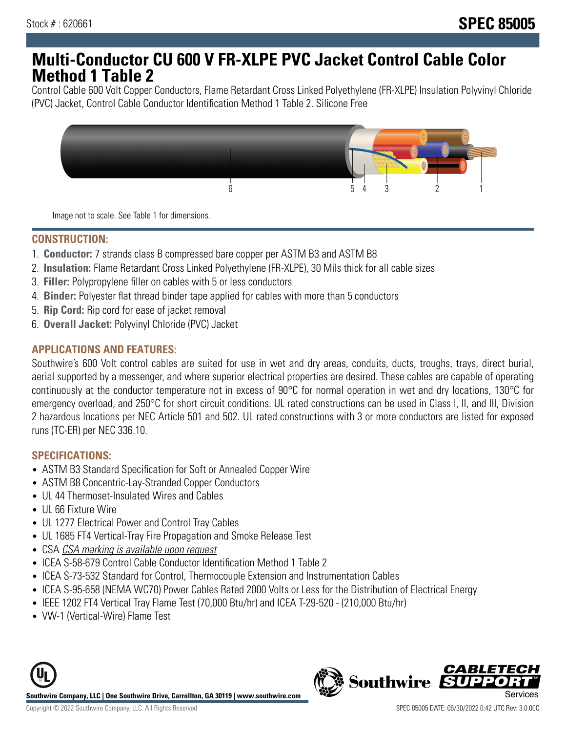# **Multi-Conductor CU 600 V FR-XLPE PVC Jacket Control Cable Color Method 1 Table 2**

Control Cable 600 Volt Copper Conductors, Flame Retardant Cross Linked Polyethylene (FR-XLPE) Insulation Polyvinyl Chloride (PVC) Jacket, Control Cable Conductor Identification Method 1 Table 2. Silicone Free



Image not to scale. See Table 1 for dimensions.

### **CONSTRUCTION:**

- 1. **Conductor:** 7 strands class B compressed bare copper per ASTM B3 and ASTM B8
- 2. **Insulation:** Flame Retardant Cross Linked Polyethylene (FR-XLPE), 30 Mils thick for all cable sizes
- 3. **Filler:** Polypropylene filler on cables with 5 or less conductors
- 4. **Binder:** Polyester flat thread binder tape applied for cables with more than 5 conductors
- 5. **Rip Cord:** Rip cord for ease of jacket removal
- 6. **Overall Jacket:** Polyvinyl Chloride (PVC) Jacket

### **APPLICATIONS AND FEATURES:**

Southwire's 600 Volt control cables are suited for use in wet and dry areas, conduits, ducts, troughs, trays, direct burial, aerial supported by a messenger, and where superior electrical properties are desired. These cables are capable of operating continuously at the conductor temperature not in excess of 90°C for normal operation in wet and dry locations, 130°C for emergency overload, and 250°C for short circuit conditions. UL rated constructions can be used in Class I, II, and III, Division 2 hazardous locations per NEC Article 501 and 502. UL rated constructions with 3 or more conductors are listed for exposed runs (TC-ER) per NEC 336.10.

### **SPECIFICATIONS:**

- ASTM B3 Standard Specification for Soft or Annealed Copper Wire
- ASTM B8 Concentric-Lay-Stranded Copper Conductors
- UL 44 Thermoset-Insulated Wires and Cables
- UL 66 Fixture Wire
- UL 1277 Electrical Power and Control Tray Cables
- UL 1685 FT4 Vertical-Tray Fire Propagation and Smoke Release Test
- CSA CSA marking is available upon request
- ICEA S-58-679 Control Cable Conductor Identification Method 1 Table 2
- ICEA S-73-532 Standard for Control, Thermocouple Extension and Instrumentation Cables
- ICEA S-95-658 (NEMA WC70) Power Cables Rated 2000 Volts or Less for the Distribution of Electrical Energy
- IEEE 1202 FT4 Vertical Tray Flame Test (70,000 Btu/hr) and ICEA T-29-520 (210,000 Btu/hr)
- VW-1 (Vertical-Wire) Flame Test



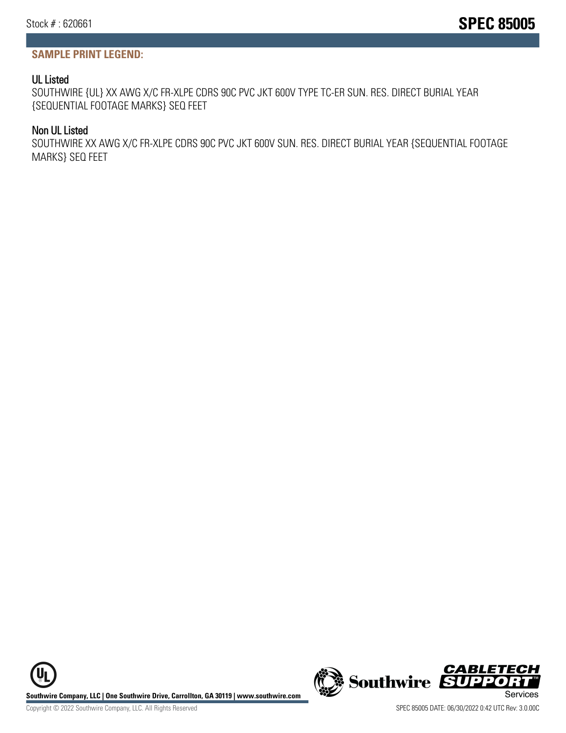## **SAMPLE PRINT LEGEND:**

## UL Listed

SOUTHWIRE {UL} XX AWG X/C FR-XLPE CDRS 90C PVC JKT 600V TYPE TC-ER SUN. RES. DIRECT BURIAL YEAR {SEQUENTIAL FOOTAGE MARKS} SEQ FEET

## Non UL Listed

SOUTHWIRE XX AWG X/C FR-XLPE CDRS 90C PVC JKT 600V SUN. RES. DIRECT BURIAL YEAR {SEQUENTIAL FOOTAGE MARKS} SEQ FEET